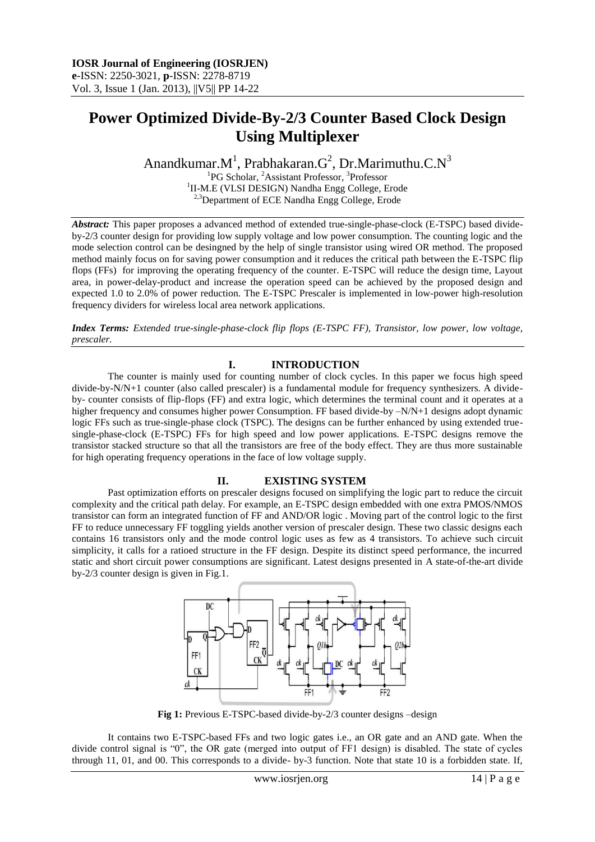# **Power Optimized Divide-By-2/3 Counter Based Clock Design Using Multiplexer**

Anandkumar. $M^1$ , Prabhakaran. $G^2$ , Dr.Marimuthu.C. $N^3$ <sup>1</sup>PG Scholar, <sup>2</sup>Assistant Professor, <sup>3</sup>Professor

<sup>1</sup>II-M.E (VLSI DESIGN) Nandha Engg College, Erode  $3$ Department of ECE Nandha Engg College, Erode

*Abstract:* This paper proposes a advanced method of extended true-single-phase-clock (E-TSPC) based divideby-2/3 counter design for providing low supply voltage and low power consumption. The counting logic and the mode selection control can be desingned by the help of single transistor using wired OR method. The proposed method mainly focus on for saving power consumption and it reduces the critical path between the E-TSPC flip flops (FFs) for improving the operating frequency of the counter. E-TSPC will reduce the design time, Layout area, in power-delay-product and increase the operation speed can be achieved by the proposed design and expected 1.0 to 2.0% of power reduction. The E-TSPC Prescaler is implemented in low-power high-resolution frequency dividers for wireless local area network applications.

*Index Terms: Extended true-single-phase-clock flip flops (E-TSPC FF), Transistor, low power, low voltage, prescaler.*

## **I. INTRODUCTION**

The counter is mainly used for counting number of clock cycles. In this paper we focus high speed divide-by-N/N+1 counter (also called prescaler) is a fundamental module for frequency synthesizers. A divideby- counter consists of flip-flops (FF) and extra logic, which determines the terminal count and it operates at a higher frequency and consumes higher power Consumption. FF based divide-by  $-N/N+1$  designs adopt dynamic logic FFs such as true-single-phase clock (TSPC). The designs can be further enhanced by using extended truesingle-phase-clock (E-TSPC) FFs for high speed and low power applications. E-TSPC designs remove the transistor stacked structure so that all the transistors are free of the body effect. They are thus more sustainable for high operating frequency operations in the face of low voltage supply.

## **II. EXISTING SYSTEM**

Past optimization efforts on prescaler designs focused on simplifying the logic part to reduce the circuit complexity and the critical path delay. For example, an E-TSPC design embedded with one extra PMOS/NMOS transistor can form an integrated function of FF and AND/OR logic . Moving part of the control logic to the first FF to reduce unnecessary FF toggling yields another version of prescaler design. These two classic designs each contains 16 transistors only and the mode control logic uses as few as 4 transistors. To achieve such circuit simplicity, it calls for a ratioed structure in the FF design. Despite its distinct speed performance, the incurred static and short circuit power consumptions are significant. Latest designs presented in A state-of-the-art divide by-2/3 counter design is given in Fig.1.



Fig 1: Previous E-TSPC-based divide-by-2/3 counter designs -design

It contains two E-TSPC-based FFs and two logic gates i.e., an OR gate and an AND gate. When the divide control signal is "0", the OR gate (merged into output of FF1 design) is disabled. The state of cycles through 11, 01, and 00. This corresponds to a divide- by-3 function. Note that state 10 is a forbidden state. If,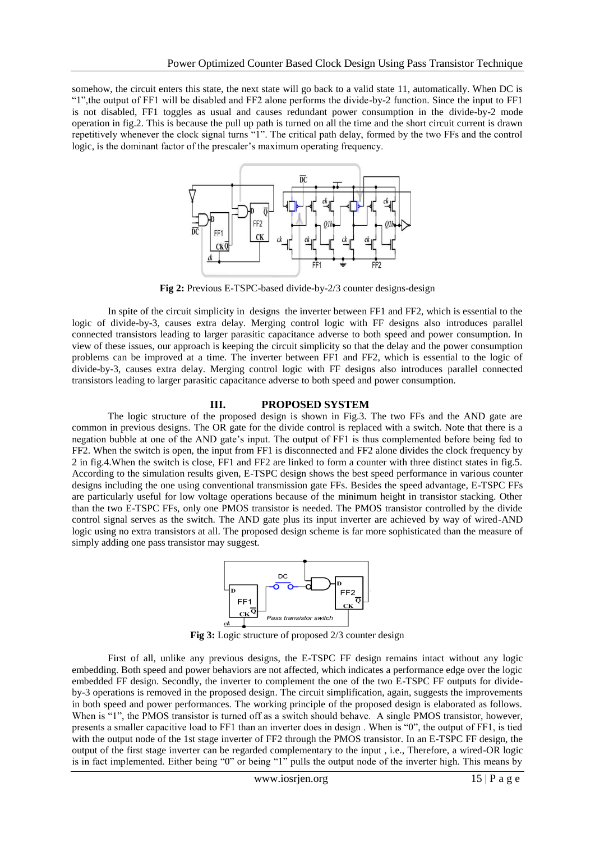somehow, the circuit enters this state, the next state will go back to a valid state 11, automatically. When DC is "1",the output of FF1 will be disabled and FF2 alone performs the divide-by-2 function. Since the input to FF1 is not disabled, FF1 toggles as usual and causes redundant power consumption in the divide-by-2 mode operation in fig.2. This is because the pull up path is turned on all the time and the short circuit current is drawn repetitively whenever the clock signal turns "1". The critical path delay, formed by the two FFs and the control logic, is the dominant factor of the prescaler's maximum operating frequency.



**Fig 2:** Previous E-TSPC-based divide-by-2/3 counter designs-design

In spite of the circuit simplicity in designs the inverter between FF1 and FF2, which is essential to the logic of divide-by-3, causes extra delay. Merging control logic with FF designs also introduces parallel connected transistors leading to larger parasitic capacitance adverse to both speed and power consumption. In view of these issues, our approach is keeping the circuit simplicity so that the delay and the power consumption problems can be improved at a time. The inverter between FF1 and FF2, which is essential to the logic of divide-by-3, causes extra delay. Merging control logic with FF designs also introduces parallel connected transistors leading to larger parasitic capacitance adverse to both speed and power consumption.

#### **III. PROPOSED SYSTEM**

The logic structure of the proposed design is shown in Fig.3. The two FFs and the AND gate are common in previous designs. The OR gate for the divide control is replaced with a switch. Note that there is a negation bubble at one of the AND gate's input. The output of FF1 is thus complemented before being fed to FF2. When the switch is open, the input from FF1 is disconnected and FF2 alone divides the clock frequency by 2 in fig.4.When the switch is close, FF1 and FF2 are linked to form a counter with three distinct states in fig.5. According to the simulation results given, E-TSPC design shows the best speed performance in various counter designs including the one using conventional transmission gate FFs. Besides the speed advantage, E-TSPC FFs are particularly useful for low voltage operations because of the minimum height in transistor stacking. Other than the two E-TSPC FFs, only one PMOS transistor is needed. The PMOS transistor controlled by the divide control signal serves as the switch. The AND gate plus its input inverter are achieved by way of wired-AND logic using no extra transistors at all. The proposed design scheme is far more sophisticated than the measure of simply adding one pass transistor may suggest.



**Fig 3:** Logic structure of proposed 2/3 counter design

First of all, unlike any previous designs, the E-TSPC FF design remains intact without any logic embedding. Both speed and power behaviors are not affected, which indicates a performance edge over the logic embedded FF design. Secondly, the inverter to complement the one of the two E-TSPC FF outputs for divideby-3 operations is removed in the proposed design. The circuit simplification, again, suggests the improvements in both speed and power performances. The working principle of the proposed design is elaborated as follows. When is "1", the PMOS transistor is turned off as a switch should behave. A single PMOS transistor, however, presents a smaller capacitive load to FF1 than an inverter does in design . When is "0", the output of FF1, is tied with the output node of the 1st stage inverter of FF2 through the PMOS transistor. In an E-TSPC FF design, the output of the first stage inverter can be regarded complementary to the input , i.e., Therefore, a wired-OR logic is in fact implemented. Either being "0" or being "1" pulls the output node of the inverter high. This means by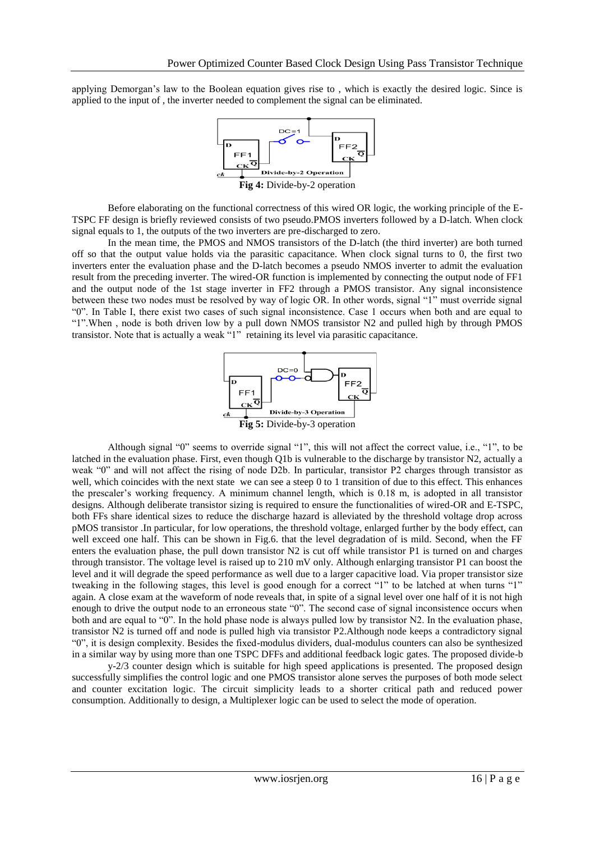applying Demorgan's law to the Boolean equation gives rise to , which is exactly the desired logic. Since is applied to the input of , the inverter needed to complement the signal can be eliminated.



Before elaborating on the functional correctness of this wired OR logic, the working principle of the E-TSPC FF design is briefly reviewed consists of two pseudo.PMOS inverters followed by a D-latch. When clock signal equals to 1, the outputs of the two inverters are pre-discharged to zero.

In the mean time, the PMOS and NMOS transistors of the D-latch (the third inverter) are both turned off so that the output value holds via the parasitic capacitance. When clock signal turns to 0, the first two inverters enter the evaluation phase and the D-latch becomes a pseudo NMOS inverter to admit the evaluation result from the preceding inverter. The wired-OR function is implemented by connecting the output node of FF1 and the output node of the 1st stage inverter in FF2 through a PMOS transistor. Any signal inconsistence between these two nodes must be resolved by way of logic OR. In other words, signal "1" must override signal "0". In Table I, there exist two cases of such signal inconsistence. Case 1 occurs when both and are equal to "1".When , node is both driven low by a pull down NMOS transistor N2 and pulled high by through PMOS transistor. Note that is actually a weak "1" retaining its level via parasitic capacitance.



Although signal "0" seems to override signal "1", this will not affect the correct value, i.e., "1", to be latched in the evaluation phase. First, even though Q1b is vulnerable to the discharge by transistor N2, actually a weak "0" and will not affect the rising of node D2b. In particular, transistor P2 charges through transistor as well, which coincides with the next state we can see a steep 0 to 1 transition of due to this effect. This enhances the prescaler's working frequency. A minimum channel length, which is 0.18 m, is adopted in all transistor designs. Although deliberate transistor sizing is required to ensure the functionalities of wired-OR and E-TSPC, both FFs share identical sizes to reduce the discharge hazard is alleviated by the threshold voltage drop across pMOS transistor .In particular, for low operations, the threshold voltage, enlarged further by the body effect, can well exceed one half. This can be shown in Fig.6. that the level degradation of is mild. Second, when the FF enters the evaluation phase, the pull down transistor N2 is cut off while transistor P1 is turned on and charges through transistor. The voltage level is raised up to 210 mV only. Although enlarging transistor P1 can boost the level and it will degrade the speed performance as well due to a larger capacitive load. Via proper transistor size tweaking in the following stages, this level is good enough for a correct "1" to be latched at when turns "1" again. A close exam at the waveform of node reveals that, in spite of a signal level over one half of it is not high enough to drive the output node to an erroneous state "0". The second case of signal inconsistence occurs when both and are equal to "0". In the hold phase node is always pulled low by transistor N2. In the evaluation phase, transistor N2 is turned off and node is pulled high via transistor P2.Although node keeps a contradictory signal "0", it is design complexity. Besides the fixed-modulus dividers, dual-modulus counters can also be synthesized in a similar way by using more than one TSPC DFFs and additional feedback logic gates. The proposed divide-b

y-2/3 counter design which is suitable for high speed applications is presented. The proposed design successfully simplifies the control logic and one PMOS transistor alone serves the purposes of both mode select and counter excitation logic. The circuit simplicity leads to a shorter critical path and reduced power consumption. Additionally to design, a Multiplexer logic can be used to select the mode of operation.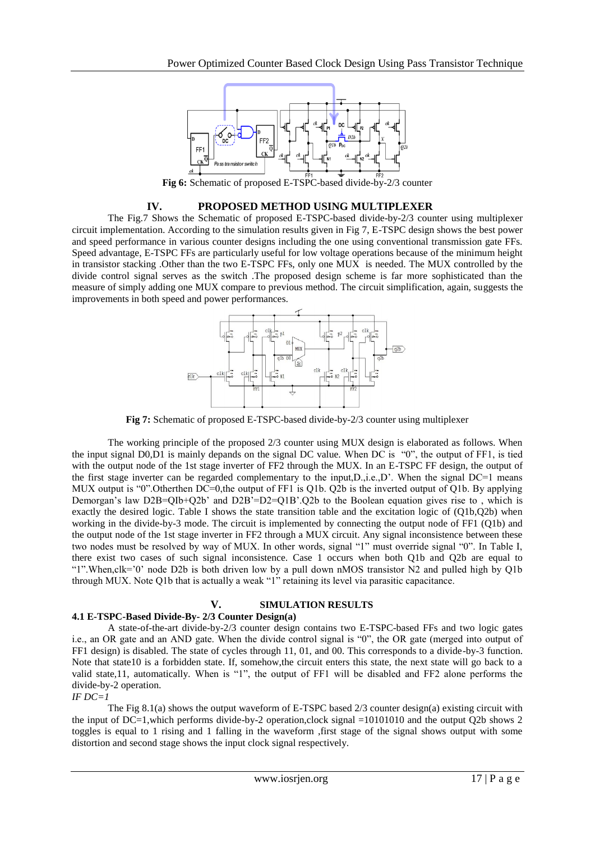

**Fig 6:** Schematic of proposed E-TSPC-based divide-by-2/3 counter

#### **IV. PROPOSED METHOD USING MULTIPLEXER**

The Fig.7 Shows the Schematic of proposed E-TSPC-based divide-by-2/3 counter using multiplexer circuit implementation. According to the simulation results given in Fig 7, E-TSPC design shows the best power and speed performance in various counter designs including the one using conventional transmission gate FFs. Speed advantage, E-TSPC FFs are particularly useful for low voltage operations because of the minimum height in transistor stacking .Other than the two E-TSPC FFs, only one MUX is needed. The MUX controlled by the divide control signal serves as the switch .The proposed design scheme is far more sophisticated than the measure of simply adding one MUX compare to previous method. The circuit simplification, again, suggests the improvements in both speed and power performances.



**Fig 7:** Schematic of proposed E-TSPC-based divide-by-2/3 counter using multiplexer

The working principle of the proposed 2/3 counter using MUX design is elaborated as follows. When the input signal D0,D1 is mainly depands on the signal DC value. When DC is "0", the output of FF1, is tied with the output node of the 1st stage inverter of FF2 through the MUX. In an E-TSPC FF design, the output of the first stage inverter can be regarded complementary to the input,D.,i.e.,D'. When the signal DC=1 means MUX output is "0". Otherthen DC=0, the output of FF1 is O1b. O2b is the inverted output of O1b. By applying Demorgan's law D2B=QIb+Q2b' and D2B<sup>2</sup>=D2=Q1B'.Q2b to the Boolean equation gives rise to, which is exactly the desired logic. Table I shows the state transition table and the excitation logic of (Q1b,Q2b) when working in the divide-by-3 mode. The circuit is implemented by connecting the output node of FF1 (Q1b) and the output node of the 1st stage inverter in FF2 through a MUX circuit. Any signal inconsistence between these two nodes must be resolved by way of MUX. In other words, signal "1" must override signal "0". In Table I, there exist two cases of such signal inconsistence. Case 1 occurs when both Q1b and Q2b are equal to "1".When,clk='0' node D2b is both driven low by a pull down nMOS transistor N2 and pulled high by Q1b through MUX. Note Q1b that is actually a weak "1" retaining its level via parasitic capacitance.

## **V. SIMULATION RESULTS**

#### **4.1 E-TSPC-Based Divide-By- 2/3 Counter Design(a)**

A state-of-the-art divide-by-2/3 counter design contains two E-TSPC-based FFs and two logic gates i.e., an OR gate and an AND gate. When the divide control signal is "0", the OR gate (merged into output of FF1 design) is disabled. The state of cycles through 11, 01, and 00. This corresponds to a divide-by-3 function. Note that state10 is a forbidden state. If, somehow,the circuit enters this state, the next state will go back to a valid state,11, automatically. When is "1", the output of FF1 will be disabled and FF2 alone performs the divide-by-2 operation.

#### $IF$   $DC=1$

The Fig 8.1(a) shows the output waveform of E-TSPC based 2/3 counter design(a) existing circuit with the input of DC=1,which performs divide-by-2 operation,clock signal =10101010 and the output Q2b shows 2 toggles is equal to 1 rising and 1 falling in the waveform ,first stage of the signal shows output with some distortion and second stage shows the input clock signal respectively.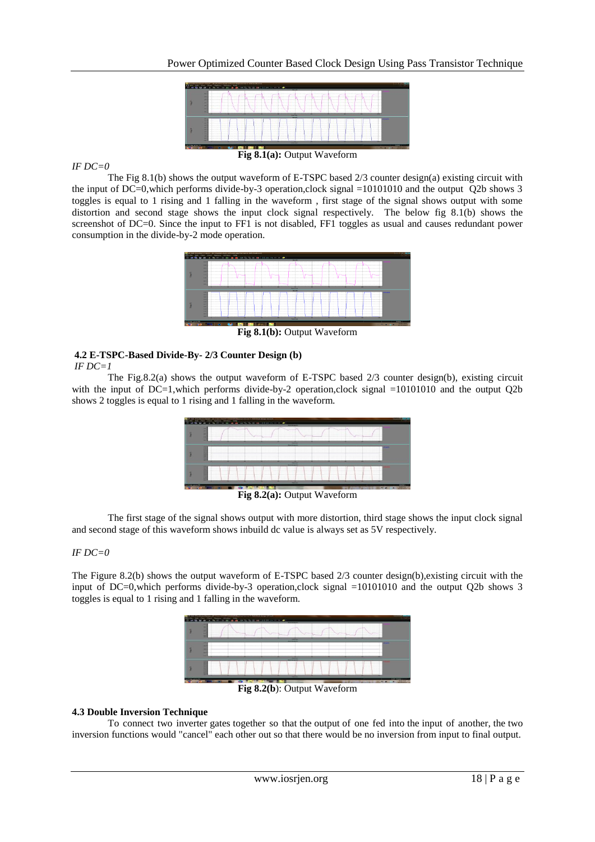

### *IF DC=0*

The Fig 8.1(b) shows the output waveform of E-TSPC based 2/3 counter design(a) existing circuit with the input of DC=0,which performs divide-by-3 operation,clock signal =10101010 and the output Q2b shows 3 toggles is equal to 1 rising and 1 falling in the waveform , first stage of the signal shows output with some distortion and second stage shows the input clock signal respectively. The below fig 8.1(b) shows the screenshot of DC=0. Since the input to FF1 is not disabled, FF1 toggles as usual and causes redundant power consumption in the divide-by-2 mode operation.



**Fig 8.1(b):** Output Waveform

## **4.2 E-TSPC-Based Divide-By- 2/3 Counter Design (b)**

#### *IF DC=1*

The Fig.8.2(a) shows the output waveform of E-TSPC based 2/3 counter design(b), existing circuit with the input of  $DC=1$ , which performs divide-by-2 operation, clock signal  $=10101010$  and the output Q2b shows 2 toggles is equal to 1 rising and 1 falling in the waveform.

| <b>First</b>         |                                   | Edit View Check Element Whitehov PAID | THE WALKSHIP WANT: ECONOMIST EXPLANE AND RELEASE CONTINUES. SURFACE AREAS SCIENTIST<br><b>Shift and an an anti-time and distance of the Common Common Common Common Common Common Common Common Common Common</b> |                                                        |                            |                          |                                   |                    |
|----------------------|-----------------------------------|---------------------------------------|-------------------------------------------------------------------------------------------------------------------------------------------------------------------------------------------------------------------|--------------------------------------------------------|----------------------------|--------------------------|-----------------------------------|--------------------|
|                      | -<br>-<br>-<br><br><br><br>-      |                                       |                                                                                                                                                                                                                   | ----                                                   | <br><b>The Corporation</b> | and the first process of | <b>Contract Contract Contract</b> |                    |
|                      |                                   |                                       |                                                                                                                                                                                                                   | <b>THE R</b><br>-----                                  |                            |                          |                                   |                    |
|                      | <br><br><br><br><br>-<br><br><br> |                                       |                                                                                                                                                                                                                   |                                                        |                            |                          |                                   |                    |
|                      |                                   |                                       |                                                                                                                                                                                                                   | <b>THE R</b><br><b><i><u>PERSONAL PROPERTY</u></i></b> |                            |                          |                                   |                    |
|                      | -<br><br><br><br><br><br><br><br> | <b>Linksworth</b>                     | ----                                                                                                                                                                                                              |                                                        |                            |                          | <b>London</b><br>.                |                    |
| For Horac present it |                                   |                                       |                                                                                                                                                                                                                   |                                                        |                            |                          |                                   | 88,93              |
|                      |                                   |                                       |                                                                                                                                                                                                                   |                                                        |                            |                          |                                   | SHOP ONE<br>$\sim$ |
|                      |                                   |                                       | --<br>$\overline{\phantom{a}}$                                                                                                                                                                                    |                                                        | - -                        | $\sim$                   |                                   |                    |

Fig 8.2(a): Output Waveform

The first stage of the signal shows output with more distortion, third stage shows the input clock signal and second stage of this waveform shows inbuild dc value is always set as 5V respectively.

#### *IF DC=0*

The Figure 8.2(b) shows the output waveform of E-TSPC based 2/3 counter design(b),existing circuit with the input of DC=0,which performs divide-by-3 operation,clock signal =10101010 and the output Q2b shows 3 toggles is equal to 1 rising and 1 falling in the waveform.

|                    | Ed the first chart Content to the content of the content of the content of the content of the content of the content of the content of the content of the content of the content of the content of the content of the content<br>----                                                                                                         |                                      |
|--------------------|-----------------------------------------------------------------------------------------------------------------------------------------------------------------------------------------------------------------------------------------------------------------------------------------------------------------------------------------------|--------------------------------------|
|                    | --<br>.<br>.<br>--<br><b><i><u>ARRESTSERS COMPANIES</u></i></b><br><br>--<br>-<br><br><br>.<br><br>Latin was a con-<br>.<br>.<br><br><b>BIRTHDAY</b><br>                                                                                                                                                                                      |                                      |
|                    | ---                                                                                                                                                                                                                                                                                                                                           |                                      |
|                    | <br><br>-<br>-<br><br>-                                                                                                                                                                                                                                                                                                                       |                                      |
|                    | <b><i><u>PERSONAL PROPERTY</u></i></b><br>                                                                                                                                                                                                                                                                                                    |                                      |
|                    | <br><br><b>San Antonio</b><br>---<br><br>-----<br><br>.<br><br><br><br><b>STATISTICS</b><br>.<br>.<br>.<br>.<br><b>CONTRACTOR</b> CONTRACTO<br><b>CONTRACTOR</b><br><br><br><br><b>SALES</b><br><b>COLLEGE</b><br><br><br>-----<br>----<br>----<br>.<br><br>----<br>.<br><br><br><br>--------<br>.<br>.<br><br>.<br><br>------<br>÷<br>.<br>÷ |                                      |
| For their areas FL |                                                                                                                                                                                                                                                                                                                                               | <b>THE STATE</b>                     |
|                    |                                                                                                                                                                                                                                                                                                                                               | <b>BIDS MAI</b><br><b>CONTRACTOR</b> |

**Fig 8.2(b**): Output Waveform

#### **4.3 Double Inversion Technique**

To connect two inverter gates together so that the output of one fed into the input of another, the two inversion functions would "cancel" each other out so that there would be no inversion from input to final output.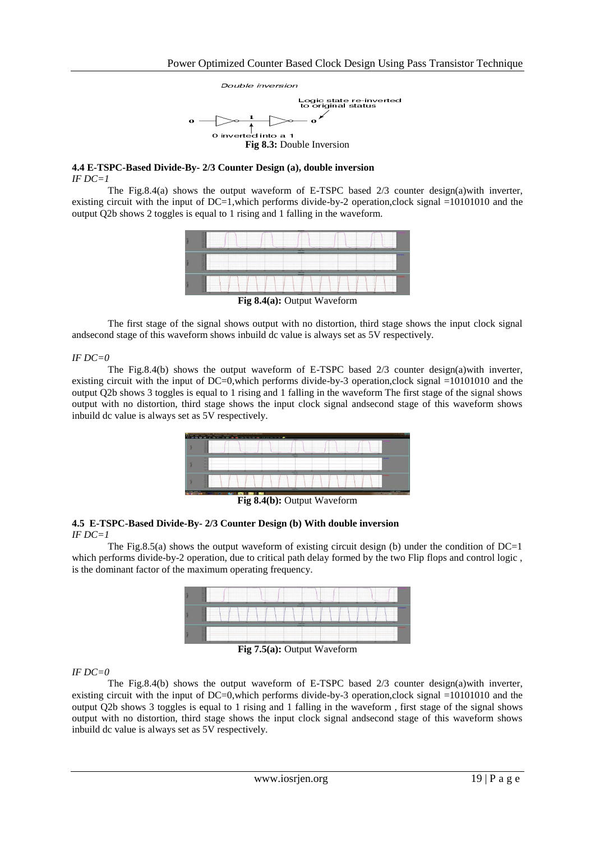

#### **4.4 E-TSPC-Based Divide-By- 2/3 Counter Design (a), double inversion** *IF DC=1*

The Fig.8.4(a) shows the output waveform of E-TSPC based 2/3 counter design(a)with inverter, existing circuit with the input of  $DC=1$ , which performs divide-by-2 operation,clock signal =10101010 and the output Q2b shows 2 toggles is equal to 1 rising and 1 falling in the waveform.



**Fig 8.4(a): Output Waveform** 

The first stage of the signal shows output with no distortion, third stage shows the input clock signal andsecond stage of this waveform shows inbuild dc value is always set as 5V respectively.

#### *IF DC=0*

The Fig.8.4(b) shows the output waveform of E-TSPC based  $2/3$  counter design(a)with inverter, existing circuit with the input of DC=0, which performs divide-by-3 operation, clock signal  $=10101010$  and the output Q2b shows 3 toggles is equal to 1 rising and 1 falling in the waveform The first stage of the signal shows output with no distortion, third stage shows the input clock signal andsecond stage of this waveform shows inbuild dc value is always set as 5V respectively.

| <b>State</b><br>Chicago Mike | or data drawing your trauma : (41) Northern with by safetyper page because it from treat with<br>Fold their closed trackers. Minders there<br>Marine of the extent and an application of the anti-term and the control of |                      |                               |                                 |                            |                        |                             |                                                                                      |       |           |                                                   |
|------------------------------|---------------------------------------------------------------------------------------------------------------------------------------------------------------------------------------------------------------------------|----------------------|-------------------------------|---------------------------------|----------------------------|------------------------|-----------------------------|--------------------------------------------------------------------------------------|-------|-----------|---------------------------------------------------|
|                              | -<br>u                                                                                                                                                                                                                    |                      |                               | <br>and the property of<br>---- | <br>__                     |                        |                             | ___                                                                                  | -     | .<br>.    |                                                   |
|                              | <br>-<br>-                                                                                                                                                                                                                |                      |                               |                                 | -<br>÷<br>-                |                        | -                           |                                                                                      |       |           | . .                                               |
|                              | <br><br>-<br>------<br>                                                                                                                                                                                                   | ----<br>----<br>---- | $-14.4$<br>---<br>.<br><br>-- | .<br>-<br>-----<br>.            | -<br>----<br><br><br><br>۰ | .<br>----<br><br>----- | $\cdots$<br>----<br>---<br> | <b>ALCOHOL:</b><br>$-111$<br><b>CARDON</b><br>----<br>---<br>$1 - 1 - 1 = 1$<br>---- | .<br> | <br><br>. |                                                   |
|                              |                                                                                                                                                                                                                           |                      | <b>AND RWE SEA FIRE</b><br>-- | $\sim$ $\sim$ $\sim$ $\sim$     | $\sim$                     |                        | ---                         | $\overline{\phantom{a}}$                                                             |       |           | <b>CAR FEIRE</b><br>the company of the company of |

**Fig 8.4(b):** Output Waveform

#### **4.5 E-TSPC-Based Divide-By- 2/3 Counter Design (b) With double inversion** *IF DC=1*

The Fig.8.5(a) shows the output waveform of existing circuit design (b) under the condition of DC=1 which performs divide-by-2 operation, due to critical path delay formed by the two Flip flops and control logic, is the dominant factor of the maximum operating frequency.



**Fig 7.5(a):** Output Waveform

*IF DC=0*

The Fig.8.4(b) shows the output waveform of E-TSPC based  $2/3$  counter design(a)with inverter, existing circuit with the input of DC=0, which performs divide-by-3 operation, clock signal  $=10101010$  and the output Q2b shows 3 toggles is equal to 1 rising and 1 falling in the waveform , first stage of the signal shows output with no distortion, third stage shows the input clock signal andsecond stage of this waveform shows inbuild dc value is always set as 5V respectively.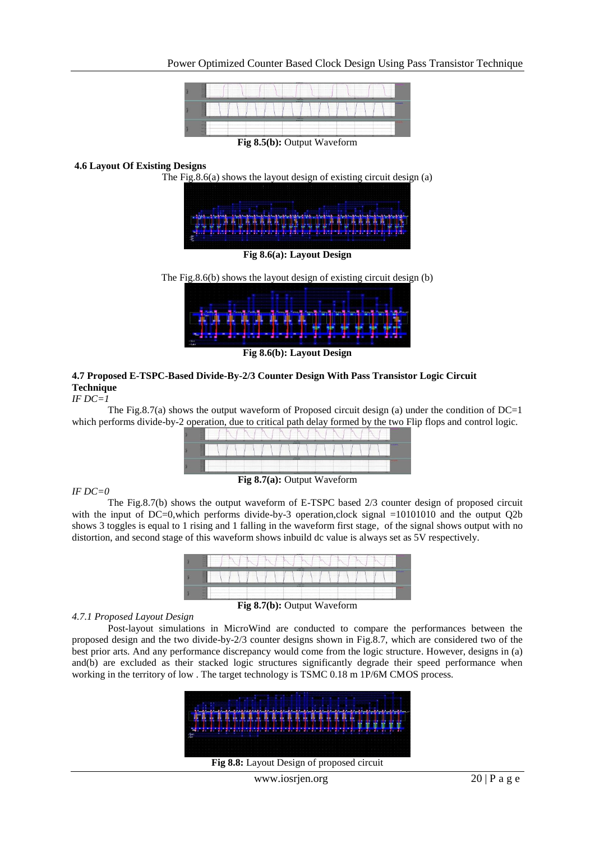

## **4.6 Layout Of Existing Designs**

The Fig.8.6(a) shows the layout design of existing circuit design (a)

| <b>BETHERE</b> |                | <u> ANDIE SHOUTING I</u> |                       |  |
|----------------|----------------|--------------------------|-----------------------|--|
|                | Far a far an a |                          | <b>A MOIS AIR RIV</b> |  |
|                |                |                          |                       |  |

**Fig 8.6(a): Layout Design**

The Fig.8.6(b) shows the layout design of existing circuit design (b)



**Fig 8.6(b): Layout Design**

## **4.7 Proposed E-TSPC-Based Divide-By-2/3 Counter Design With Pass Transistor Logic Circuit Technique**

#### *IF DC=1*

The Fig.8.7(a) shows the output waveform of Proposed circuit design (a) under the condition of  $DC=1$ which performs divide-by-2 operation, due to critical path delay formed by the two Flip flops and control logic.



#### *IF DC=0*

The Fig.8.7(b) shows the output waveform of E-TSPC based 2/3 counter design of proposed circuit with the input of DC=0, which performs divide-by-3 operation, clock signal =10101010 and the output Q2b shows 3 toggles is equal to 1 rising and 1 falling in the waveform first stage, of the signal shows output with no distortion, and second stage of this waveform shows inbuild dc value is always set as 5V respectively.

| -<br>and the state of the control of the control of the control of the control of the control of the control of the<br>0.000 for a second consideration of the second consideration of the constant form of the constant for a second consideration of the constant for a second consideration of the constant of the constant of the constant of the<br>and a management of the contract of the contract of the contract of the contract of the contract of the contract of the contract of the contract of the contract of the contract of the contract of the contract of the contra<br>-<br>and the contract of the contract of the contract of the contract of the contract of the contract of the contract of the contract of the contract of the contract of the contract of the contract of the contract of the contra<br>--<br>and the company of the company of the company of the company of the company of the company of the company of the company of the company of the company of the company of the company of the company of the company of the comp<br>--<br>_______<br>____<br><b>Advanced Man</b>                                                                                                                                                                                                         |
|--------------------------------------------------------------------------------------------------------------------------------------------------------------------------------------------------------------------------------------------------------------------------------------------------------------------------------------------------------------------------------------------------------------------------------------------------------------------------------------------------------------------------------------------------------------------------------------------------------------------------------------------------------------------------------------------------------------------------------------------------------------------------------------------------------------------------------------------------------------------------------------------------------------------------------------------------------------------------------------------------------------------------------------------------------------------------------------------------------------------------------------------------------------------------------------------------------------------------------------------------------------------------------------------------------------------------------|
| _<br>Access to the commercial<br>--<br>. .<br><u> 1986 - 1986 - 1986 - 1987 - 1988 - 1988 - 1988 - 1988 - 1988 - 1988 - 1988 - 1988 - 1988 - 1988 - 1988 - 1988 - 1988 - 1988 - 1988 - 1988 - 1988 - 1988 - 1988 - 1988 - 1988 - 1988 - 1988 - 1988 - 1988 - 1988 - 1988 - 198</u><br>. .<br><br><u> 1999 - De Barbara (Barbara de Barbara de Barbara de Barbara de Barbara de Barbara de Barbara de Barbara de Barbara de Barbara de Barbara de Barbara de Barbara de Barbara de Barbara de Barbara de Barbara de Barbara de Bar</u><br><br>the course of the contract of the contract of the contract of the contract of the contract of the contract of<br><br><br>and the contract of the contract of the contract of the contract of the contract of the contract of the contract of the contract of the contract of the contract of the contract of the contract of the contract of the contra<br>and the company of the company of the company of the company of the company of the company of the company of the company of the company of the company of the company of the company of the company of the company of the comp<br><br>the contract of the contract of the contract of the contract of the contract of the contract of the contract of the<br><b>The Latitude Contract of Contract Contract</b><br>____ |
| <b>Administrator</b><br>---<br><br>.<br>.<br><br>.<br>-<br><br>                                                                                                                                                                                                                                                                                                                                                                                                                                                                                                                                                                                                                                                                                                                                                                                                                                                                                                                                                                                                                                                                                                                                                                                                                                                                |

### **Fig 8.7(b):** Output Waveform

#### *4.7.1 Proposed Layout Design*

Post-layout simulations in MicroWind are conducted to compare the performances between the proposed design and the two divide-by-2/3 counter designs shown in Fig.8.7, which are considered two of the best prior arts. And any performance discrepancy would come from the logic structure. However, designs in (a) and(b) are excluded as their stacked logic structures significantly degrade their speed performance when working in the territory of low . The target technology is TSMC 0.18 m 1P/6M CMOS process.



**Fig 8.8:** Layout Design of proposed circuit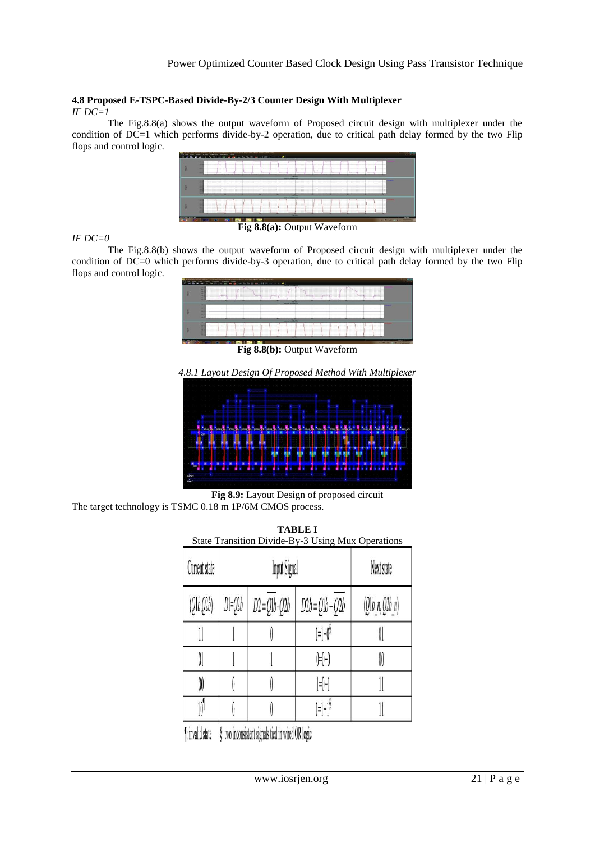## **4.8 Proposed E-TSPC-Based Divide-By-2/3 Counter Design With Multiplexer**

*IF DC=1*

The Fig.8.8(a) shows the output waveform of Proposed circuit design with multiplexer under the condition of DC=1 which performs divide-by-2 operation, due to critical path delay formed by the two Flip flops and control logic.



#### *IF DC=0*

Fig 8.8(a): Output Waveform

The Fig.8.8(b) shows the output waveform of Proposed circuit design with multiplexer under the condition of DC=0 which performs divide-by-3 operation, due to critical path delay formed by the two Flip flops and control logic.



Fig 8.8(b): Output Waveform

*4.8.1 Layout Design Of Proposed Method With Multiplexer*



**Fig 8.9:** Layout Design of proposed circuit The target technology is TSMC 0.18 m 1P/6M CMOS process.

| <b>TABLE I</b><br>State Transition Divide-By-3 Using Mux Operations |         |                      |                                                           |                |  |  |  |  |
|---------------------------------------------------------------------|---------|----------------------|-----------------------------------------------------------|----------------|--|--|--|--|
| Current state                                                       |         | <b>Input Signal</b>  | Next state                                                |                |  |  |  |  |
| (Q1b,Q2b)                                                           | $D = 0$ | $D2 = Q1b \cdot Q2b$ | $D2b = Q1b + Q2b$                                         | (21b n, 22b n) |  |  |  |  |
|                                                                     |         |                      | 1=1+0 <sup>8</sup>                                        |                |  |  |  |  |
| OI.                                                                 |         |                      | 0+0+0                                                     | OO             |  |  |  |  |
| M                                                                   |         |                      | $ \psi $                                                  |                |  |  |  |  |
|                                                                     |         |                      | $\left  \frac{1}{n} \right  + \left  \frac{1}{n} \right $ |                |  |  |  |  |

[: invalid state §: two inconsistent signals tied in wired OR logic